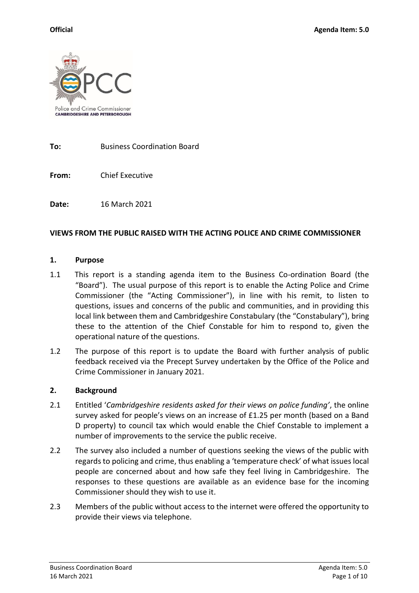

**To:** Business Coordination Board

**From:** Chief Executive

**Date:** 16 March 2021

#### **VIEWS FROM THE PUBLIC RAISED WITH THE ACTING POLICE AND CRIME COMMISSIONER**

#### **1. Purpose**

- 1.1 This report is a standing agenda item to the Business Co-ordination Board (the "Board"). The usual purpose of this report is to enable the Acting Police and Crime Commissioner (the "Acting Commissioner"), in line with his remit, to listen to questions, issues and concerns of the public and communities, and in providing this local link between them and Cambridgeshire Constabulary (the "Constabulary"), bring these to the attention of the Chief Constable for him to respond to, given the operational nature of the questions.
- 1.2 The purpose of this report is to update the Board with further analysis of public feedback received via the Precept Survey undertaken by the Office of the Police and Crime Commissioner in January 2021.

#### **2. Background**

- 2.1 Entitled '*Cambridgeshire residents asked for their views on police funding'*, the online survey asked for people's views on an increase of £1.25 per month (based on a Band D property) to council tax which would enable the Chief Constable to implement a number of improvements to the service the public receive.
- 2.2 The survey also included a number of questions seeking the views of the public with regards to policing and crime, thus enabling a 'temperature check' of what issues local people are concerned about and how safe they feel living in Cambridgeshire. The responses to these questions are available as an evidence base for the incoming Commissioner should they wish to use it.
- 2.3 Members of the public without access to the internet were offered the opportunity to provide their views via telephone.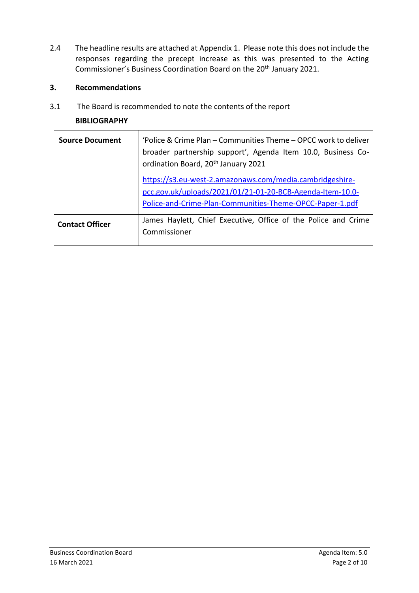2.4 The headline results are attached at Appendix 1. Please note this does not include the responses regarding the precept increase as this was presented to the Acting Commissioner's Business Coordination Board on the 20th January 2021.

### **3. Recommendations**

3.1 The Board is recommended to note the contents of the report

### **BIBLIOGRAPHY**

| <b>Source Document</b> | 'Police & Crime Plan – Communities Theme – OPCC work to deliver<br>broader partnership support', Agenda Item 10.0, Business Co-<br>ordination Board, 20 <sup>th</sup> January 2021<br>https://s3.eu-west-2.amazonaws.com/media.cambridgeshire-<br>pcc.gov.uk/uploads/2021/01/21-01-20-BCB-Agenda-Item-10.0- |
|------------------------|-------------------------------------------------------------------------------------------------------------------------------------------------------------------------------------------------------------------------------------------------------------------------------------------------------------|
|                        | Police-and-Crime-Plan-Communities-Theme-OPCC-Paper-1.pdf                                                                                                                                                                                                                                                    |
| <b>Contact Officer</b> | James Haylett, Chief Executive, Office of the Police and Crime<br>Commissioner                                                                                                                                                                                                                              |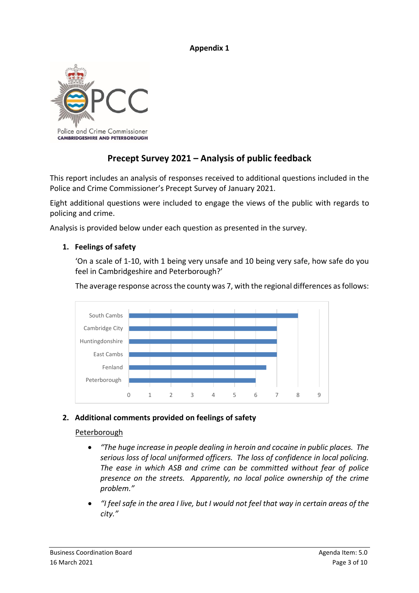#### **Appendix 1**



# **Precept Survey 2021 – Analysis of public feedback**

This report includes an analysis of responses received to additional questions included in the Police and Crime Commissioner's Precept Survey of January 2021.

Eight additional questions were included to engage the views of the public with regards to policing and crime.

Analysis is provided below under each question as presented in the survey.

#### **1. Feelings of safety**

'On a scale of 1-10, with 1 being very unsafe and 10 being very safe, how safe do you feel in Cambridgeshire and Peterborough?'

The average response across the county was 7, with the regional differences as follows:



### **2. Additional comments provided on feelings of safety**

#### Peterborough

- *"The huge increase in people dealing in heroin and cocaine in public places. The serious loss of local uniformed officers. The loss of confidence in local policing. The ease in which ASB and crime can be committed without fear of police presence on the streets. Apparently, no local police ownership of the crime problem."*
- *"I feel safe in the area I live, but I would not feel that way in certain areas of the city."*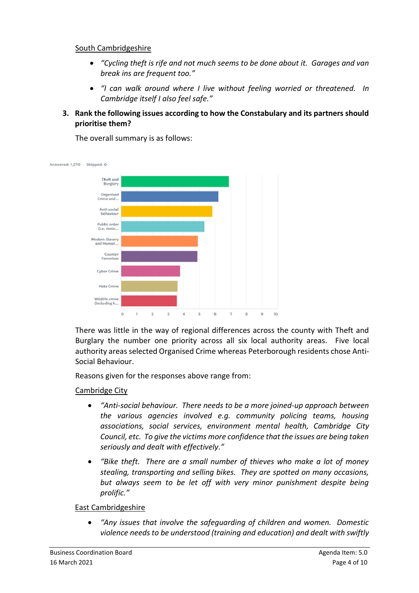#### South Cambridgeshire

- *"Cycling theft is rife and not much seems to be done about it. Garages and van break ins are frequent too."*
- *"I can walk around where I live without feeling worried or threatened. In Cambridge itself I also feel safe."*
- **3. Rank the following issues according to how the Constabulary and its partners should prioritise them?**

The overall summary is as follows:



There was little in the way of regional differences across the county with Theft and Burglary the number one priority across all six local authority areas. Five local authority areas selected Organised Crime whereas Peterborough residents chose Anti-Social Behaviour.

Reasons given for the responses above range from:

#### Cambridge City

- *"Anti-social behaviour. There needs to be a more joined-up approach between the various agencies involved e.g. community policing teams, housing associations, social services, environment mental health, Cambridge City Council, etc. To give the victims more confidence that the issues are being taken seriously and dealt with effectively."*
- *"Bike theft. There are a small number of thieves who make a lot of money stealing, transporting and selling bikes. They are spotted on many occasions, but always seem to be let off with very minor punishment despite being prolific."*

#### East Cambridgeshire

• *"Any issues that involve the safeguarding of children and women. Domestic violence needs to be understood (training and education) and dealt with swiftly*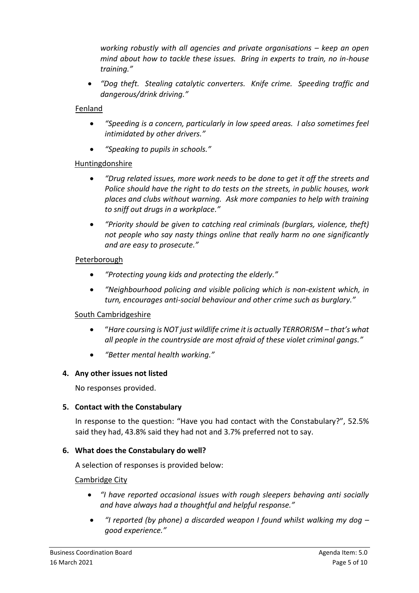*working robustly with all agencies and private organisations – keep an open mind about how to tackle these issues. Bring in experts to train, no in-house training."*

• *"Dog theft. Stealing catalytic converters. Knife crime. Speeding traffic and dangerous/drink driving."*

#### Fenland

- *"Speeding is a concern, particularly in low speed areas. I also sometimes feel intimidated by other drivers."*
- *"Speaking to pupils in schools."*

#### Huntingdonshire

- *"Drug related issues, more work needs to be done to get it off the streets and Police should have the right to do tests on the streets, in public houses, work places and clubs without warning. Ask more companies to help with training to sniff out drugs in a workplace."*
- *"Priority should be given to catching real criminals (burglars, violence, theft) not people who say nasty things online that really harm no one significantly and are easy to prosecute."*

#### Peterborough

- *"Protecting young kids and protecting the elderly."*
- *"Neighbourhood policing and visible policing which is non-existent which, in turn, encourages anti-social behaviour and other crime such as burglary."*

### South Cambridgeshire

- "*Hare coursing is NOT just wildlife crime it is actually TERRORISM – that's what all people in the countryside are most afraid of these violet criminal gangs."*
- *"Better mental health working."*

### **4. Any other issues not listed**

No responses provided.

### **5. Contact with the Constabulary**

In response to the question: "Have you had contact with the Constabulary?", 52.5% said they had, 43.8% said they had not and 3.7% preferred not to say.

### **6. What does the Constabulary do well?**

A selection of responses is provided below:

### Cambridge City

- *"I have reported occasional issues with rough sleepers behaving anti socially and have always had a thoughtful and helpful response."*
- *"I reported (by phone) a discarded weapon I found whilst walking my dog – good experience."*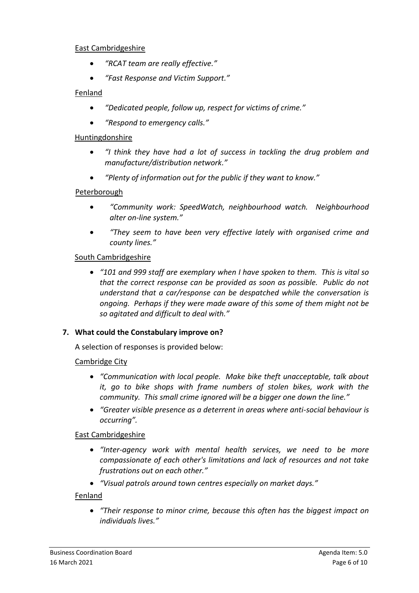#### East Cambridgeshire

- *"RCAT team are really effective."*
- *"Fast Response and Victim Support."*

### Fenland

- *"Dedicated people, follow up, respect for victims of crime."*
- *"Respond to emergency calls."*

#### Huntingdonshire

- *"I think they have had a lot of success in tackling the drug problem and manufacture/distribution network."*
- *"Plenty of information out for the public if they want to know."*

### **Peterborough**

- *"Community work: SpeedWatch, neighbourhood watch. Neighbourhood alter on-line system."*
- *"They seem to have been very effective lately with organised crime and county lines."*

## South Cambridgeshire

• *"101 and 999 staff are exemplary when I have spoken to them. This is vital so that the correct response can be provided as soon as possible. Public do not understand that a car/response can be despatched while the conversation is ongoing. Perhaps if they were made aware of this some of them might not be so agitated and difficult to deal with."*

### **7. What could the Constabulary improve on?**

A selection of responses is provided below:

# Cambridge City

- *"Communication with local people. Make bike theft unacceptable, talk about it, go to bike shops with frame numbers of stolen bikes, work with the community. This small crime ignored will be a bigger one down the line."*
- *"Greater visible presence as a deterrent in areas where anti-social behaviour is occurring".*

### East Cambridgeshire

- *"Inter-agency work with mental health services, we need to be more compassionate of each other's limitations and lack of resources and not take frustrations out on each other."*
- *"Visual patrols around town centres especially on market days."*

### Fenland

• *"Their response to minor crime, because this often has the biggest impact on individuals lives."*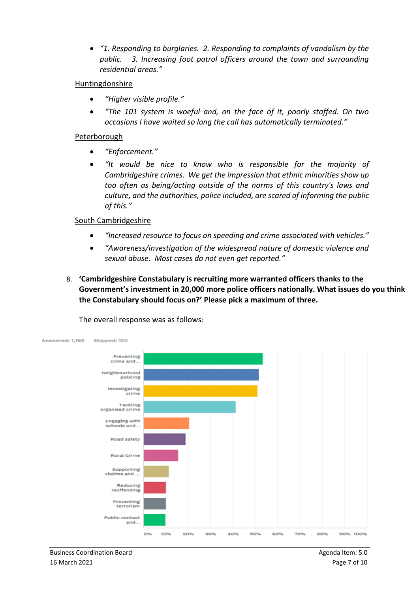• *"1. Responding to burglaries. 2. Responding to complaints of vandalism by the public. 3. Increasing foot patrol officers around the town and surrounding residential areas."*

#### Huntingdonshire

- *"Higher visible profile."*
- *"The 101 system is woeful and, on the face of it, poorly staffed. On two occasions I have waited so long the call has automatically terminated."*

#### Peterborough

- *"Enforcement."*
- *"It would be nice to know who is responsible for the majority of Cambridgeshire crimes. We get the impression that ethnic minorities show up too often as being/acting outside of the norms of this country's laws and culture, and the authorities, police included, are scared of informing the public of this."*

## South Cambridgeshire

- *"Increased resource to focus on speeding and crime associated with vehicles."*
- *"Awareness/investigation of the widespread nature of domestic violence and sexual abuse. Most cases do not even get reported."*
- 8. **'Cambridgeshire Constabulary is recruiting more warranted officers thanks to the Government's investment in 20,000 more police officers nationally. What issues do you think the Constabulary should focus on?' Please pick a maximum of three.**



The overall response was as follows: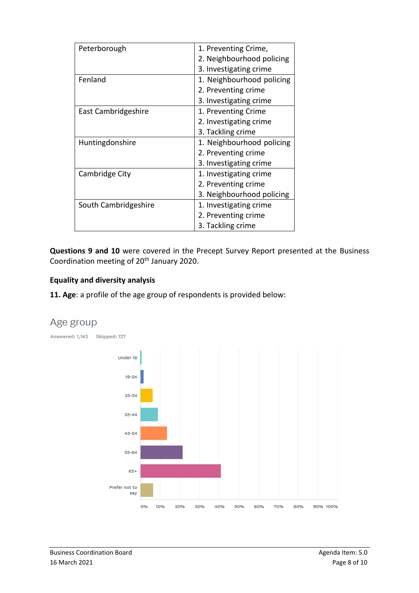| Peterborough         | 1. Preventing Crime,      |
|----------------------|---------------------------|
|                      | 2. Neighbourhood policing |
|                      | 3. Investigating crime    |
| Fenland              | 1. Neighbourhood policing |
|                      | 2. Preventing crime       |
|                      | 3. Investigating crime    |
| East Cambridgeshire  | 1. Preventing Crime       |
|                      | 2. Investigating crime    |
|                      | 3. Tackling crime         |
| Huntingdonshire      | 1. Neighbourhood policing |
|                      | 2. Preventing crime       |
|                      | 3. Investigating crime    |
| Cambridge City       | 1. Investigating crime    |
|                      | 2. Preventing crime       |
|                      | 3. Neighbourhood policing |
| South Cambridgeshire | 1. Investigating crime    |
|                      | 2. Preventing crime       |
|                      | 3. Tackling crime         |

**Questions 9 and 10** were covered in the Precept Survey Report presented at the Business Coordination meeting of 20<sup>th</sup> January 2020.

### **Equality and diversity analysis**

**11. Age**: a profile of the age group of respondents is provided below:



# Age group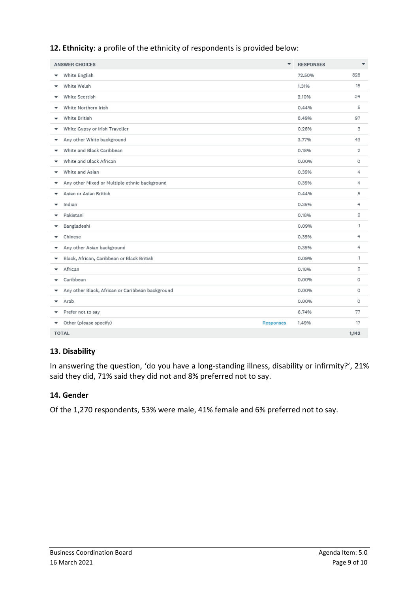**12. Ethnicity**: a profile of the ethnicity of respondents is provided below:

| <b>ANSWER CHOICES</b>                                 | $\overline{\phantom{a}}$ | <b>RESPONSES</b> | $\overline{\phantom{a}}$ |
|-------------------------------------------------------|--------------------------|------------------|--------------------------|
| White English<br>▼                                    |                          | 72.50%           | 828                      |
| White Welsh<br>▼                                      |                          | 1.31%            | 15                       |
| White Scottish<br>$\overline{\phantom{a}}$            |                          | 2.10%            | 24                       |
| White Northern Irish<br>$\overline{\phantom{a}}$      |                          | 0.44%            | 5                        |
| White British<br>$\checkmark$                         |                          | 8.49%            | 97                       |
| White Gypsy or Irish Traveller<br>▼                   |                          | 0.26%            | 3                        |
| Any other White background<br>▼                       |                          | 3.77%            | 43                       |
| White and Black Caribbean<br>▼                        |                          | 0.18%            | $\mathbf 2$              |
| White and Black African<br>٠                          |                          | 0.00%            | $\circ$                  |
| White and Asian<br>$\checkmark$                       |                          | 0.35%            | 4                        |
| Any other Mixed or Multiple ethnic background<br>▼    |                          | 0.35%            | 4                        |
| Asian or Asian British<br>▼                           |                          | 0.44%            | 5                        |
| Indian<br>▼                                           |                          | 0.35%            | 4                        |
| Pakistani<br>▼                                        |                          | 0.18%            | $\mathbf 2$              |
| Bangladeshi<br>▼                                      |                          | 0.09%            | 1                        |
| Chinese<br>▼                                          |                          | 0.35%            | 4                        |
| Any other Asian background<br>▼                       |                          | 0.35%            | 4                        |
| Black, African, Caribbean or Black British<br>▼       |                          | 0.09%            | ı                        |
| African<br>$\overline{\phantom{a}}$                   |                          | 0.18%            | $\overline{2}$           |
| Caribbean<br>$\checkmark$                             |                          | 0.00%            | $\circ$                  |
| Any other Black, African or Caribbean background<br>▼ |                          | 0.00%            | $\circ$                  |
| Arab<br>▼                                             |                          | 0.00%            | $\circ$                  |
| Prefer not to say<br>▼                                |                          | 6.74%            | 77                       |
| Other (please specify)<br>▼                           | Responses                | 1.49%            | 17                       |
| <b>TOTAL</b>                                          |                          |                  | 1,142                    |

# **13. Disability**

In answering the question, 'do you have a long-standing illness, disability or infirmity?', 21% said they did, 71% said they did not and 8% preferred not to say.

### **14. Gender**

Of the 1,270 respondents, 53% were male, 41% female and 6% preferred not to say.